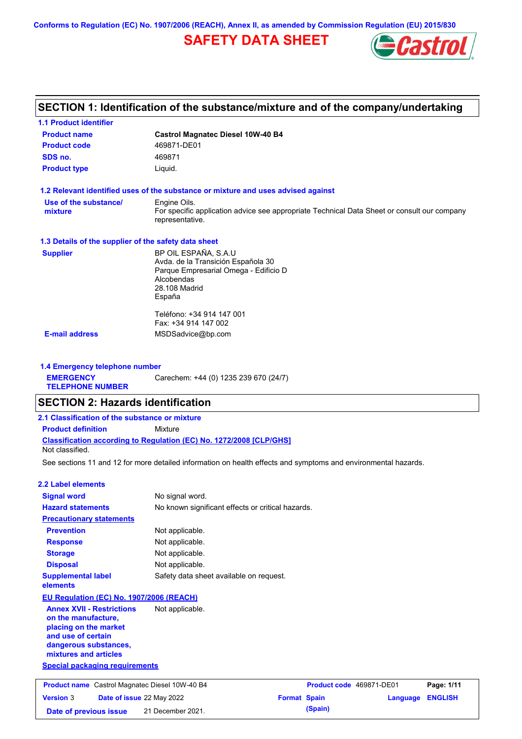**Conforms to Regulation (EC) No. 1907/2006 (REACH), Annex II, as amended by Commission Regulation (EU) 2015/830**

# **SAFETY DATA SHEET**



# **SECTION 1: Identification of the substance/mixture and of the company/undertaking**

| <b>1.1 Product identifier</b>                        |                                                                                                                |
|------------------------------------------------------|----------------------------------------------------------------------------------------------------------------|
| <b>Product name</b>                                  | <b>Castrol Magnatec Diesel 10W-40 B4</b>                                                                       |
| <b>Product code</b>                                  | 469871-DE01                                                                                                    |
| SDS no.                                              | 469871                                                                                                         |
| <b>Product type</b>                                  | Liquid.                                                                                                        |
|                                                      | 1.2 Relevant identified uses of the substance or mixture and uses advised against                              |
| Use of the substance/                                | Engine Oils.                                                                                                   |
| mixture                                              | For specific application advice see appropriate Technical Data Sheet or consult our company<br>representative. |
| 1.3 Details of the supplier of the safety data sheet |                                                                                                                |
| <b>Supplier</b>                                      | BP OIL ESPAÑA, S.A.U                                                                                           |
|                                                      | Avda. de la Transición Española 30                                                                             |
|                                                      | Parque Empresarial Omega - Edificio D                                                                          |
|                                                      | Alcobendas<br>28.108 Madrid                                                                                    |
|                                                      | España                                                                                                         |
|                                                      | Teléfono: +34 914 147 001                                                                                      |
|                                                      | Fax: +34 914 147 002                                                                                           |
| <b>E-mail address</b>                                | MSDSadvice@bp.com                                                                                              |

**1.4 Emergency telephone number EMERGENCY TELEPHONE NUMBER** Carechem: +44 (0) 1235 239 670 (24/7)

### **SECTION 2: Hazards identification**

| 2.1 Classification of the substance or mixture |                                                                            |
|------------------------------------------------|----------------------------------------------------------------------------|
| <b>Product definition</b>                      | Mixture                                                                    |
| Not classified.                                | <b>Classification according to Regulation (EC) No. 1272/2008 ICLP/GHS1</b> |

See sections 11 and 12 for more detailed information on health effects and symptoms and environmental hazards.

#### **2.2 Label elements**

| <b>Signal word</b>                                                                                                                                       | No signal word.                                   |
|----------------------------------------------------------------------------------------------------------------------------------------------------------|---------------------------------------------------|
| <b>Hazard statements</b>                                                                                                                                 | No known significant effects or critical hazards. |
| <b>Precautionary statements</b>                                                                                                                          |                                                   |
| <b>Prevention</b>                                                                                                                                        | Not applicable.                                   |
| <b>Response</b>                                                                                                                                          | Not applicable.                                   |
| <b>Storage</b>                                                                                                                                           | Not applicable.                                   |
| <b>Disposal</b>                                                                                                                                          | Not applicable.                                   |
| <b>Supplemental label</b><br>elements                                                                                                                    | Safety data sheet available on request.           |
| EU Regulation (EC) No. 1907/2006 (REACH)                                                                                                                 |                                                   |
| <b>Annex XVII - Restrictions</b><br>on the manufacture,<br>placing on the market<br>and use of certain<br>dangerous substances,<br>mixtures and articles | Not applicable.                                   |
| Special packaging requirements                                                                                                                           |                                                   |

|                        | <b>Product name</b> Castrol Magnatec Diesel 10W-40 B4 |                     | Product code 469871-DE01 |                         | Page: 1/11 |
|------------------------|-------------------------------------------------------|---------------------|--------------------------|-------------------------|------------|
| <b>Version 3</b>       | <b>Date of issue 22 May 2022</b>                      | <b>Format Spain</b> |                          | <b>Language ENGLISH</b> |            |
| Date of previous issue | 21 December 2021.                                     |                     | (Spain)                  |                         |            |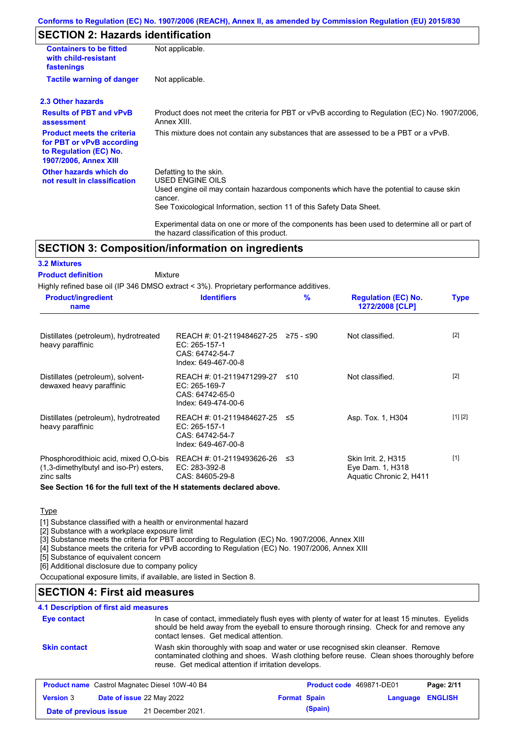#### **Conforms to Regulation (EC) No. 1907/2006 (REACH), Annex II, as amended by Commission Regulation (EU) 2015/830**

# **SECTION 2: Hazards identification**

| <b>Containers to be fitted</b><br>with child-resistant<br>fastenings                                                     | Not applicable.                                                                                                                                                                                                          |
|--------------------------------------------------------------------------------------------------------------------------|--------------------------------------------------------------------------------------------------------------------------------------------------------------------------------------------------------------------------|
| <b>Tactile warning of danger</b>                                                                                         | Not applicable.                                                                                                                                                                                                          |
| 2.3 Other hazards                                                                                                        |                                                                                                                                                                                                                          |
| <b>Results of PBT and vPvB</b><br>assessment                                                                             | Product does not meet the criteria for PBT or vPvB according to Regulation (EC) No. 1907/2006,<br>Annex XIII.                                                                                                            |
| <b>Product meets the criteria</b><br>for PBT or vPvB according<br>to Regulation (EC) No.<br><b>1907/2006, Annex XIII</b> | This mixture does not contain any substances that are assessed to be a PBT or a vPvB.                                                                                                                                    |
| Other hazards which do<br>not result in classification                                                                   | Defatting to the skin.<br>USED ENGINE OILS<br>Used engine oil may contain hazardous components which have the potential to cause skin<br>cancer.<br>See Toxicological Information, section 11 of this Safety Data Sheet. |
|                                                                                                                          | Experimental data on one or more of the components has been used to determine all or part of                                                                                                                             |

# **SECTION 3: Composition/information on ingredients**

#### **3.2 Mixtures**

#### Mixture **Product definition**

Highly refined base oil (IP 346 DMSO extract < 3%). Proprietary performance additives.

the hazard classification of this product.

| <b>Product/ingredient</b><br>name                                                                  | <b>Identifiers</b>                                                                                       | $\frac{9}{6}$ | <b>Regulation (EC) No.</b><br>1272/2008 [CLP]                      | <b>Type</b> |
|----------------------------------------------------------------------------------------------------|----------------------------------------------------------------------------------------------------------|---------------|--------------------------------------------------------------------|-------------|
| Distillates (petroleum), hydrotreated<br>heavy paraffinic                                          | REACH #: 01-2119484627-25 $\ge$ 75 - $\le$ 90<br>EC: 265-157-1<br>CAS: 64742-54-7<br>Index: 649-467-00-8 |               | Not classified.                                                    | $[2]$       |
| Distillates (petroleum), solvent-<br>dewaxed heavy paraffinic                                      | REACH #: 01-2119471299-27 ≤10<br>$EC: 265-169-7$<br>CAS: 64742-65-0<br>Index: 649-474-00-6               |               | Not classified.                                                    | $[2]$       |
| Distillates (petroleum), hydrotreated<br>heavy paraffinic                                          | REACH #: 01-2119484627-25 ≤5<br>EC: 265-157-1<br>CAS: 64742-54-7<br>Index: 649-467-00-8                  |               | Asp. Tox. 1, H304                                                  | [1] [2]     |
| Phosphorodithioic acid, mixed O,O-bis<br>(1,3-dimethylbutyl and iso-Pr) esters,<br>zinc salts<br>. | REACH #: 01-2119493626-26 ≤3<br>EC: 283-392-8<br>CAS: 84605-29-8                                         |               | Skin Irrit. 2, H315<br>Eye Dam. 1, H318<br>Aquatic Chronic 2, H411 | $[1]$       |

#### **See Section 16 for the full text of the H statements declared above.**

### **Type**

[1] Substance classified with a health or environmental hazard

[2] Substance with a workplace exposure limit

[3] Substance meets the criteria for PBT according to Regulation (EC) No. 1907/2006, Annex XIII

[4] Substance meets the criteria for vPvB according to Regulation (EC) No. 1907/2006, Annex XIII

[5] Substance of equivalent concern

[6] Additional disclosure due to company policy

Occupational exposure limits, if available, are listed in Section 8.

# **SECTION 4: First aid measures**

### **4.1 Description of first aid measures**

| Eye contact                                            | contact lenses. Get medical attention.                | In case of contact, immediately flush eyes with plenty of water for at least 15 minutes. Eyelids<br>should be held away from the eyeball to ensure thorough rinsing. Check for and remove any |            |
|--------------------------------------------------------|-------------------------------------------------------|-----------------------------------------------------------------------------------------------------------------------------------------------------------------------------------------------|------------|
| <b>Skin contact</b>                                    | reuse. Get medical attention if irritation develops.  | Wash skin thoroughly with soap and water or use recognised skin cleanser. Remove<br>contaminated clothing and shoes. Wash clothing before reuse. Clean shoes thoroughly before                |            |
|                                                        | <b>Product name</b> Castrol Magnatec Diesel 10W-40 B4 | Product code 469871-DE01                                                                                                                                                                      | Page: 2/11 |
| $\mathbf{u}$ , a matrix and a solution of $\mathbf{u}$ |                                                       | _______                                                                                                                                                                                       |            |

|                        |                                  |                     |         |                  | . |
|------------------------|----------------------------------|---------------------|---------|------------------|---|
| <b>Version 3</b>       | <b>Date of issue 22 May 2022</b> | <b>Format Spain</b> |         | Language ENGLISH |   |
| Date of previous issue | 21 December 2021.                |                     | (Spain) |                  |   |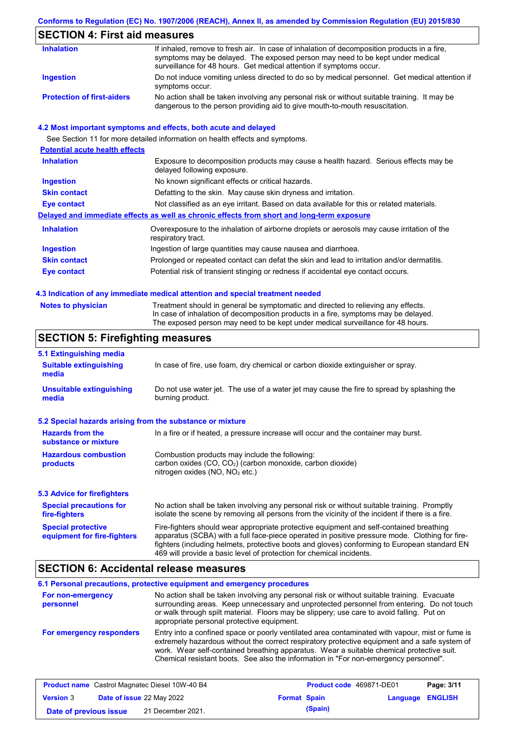#### **Conforms to Regulation (EC) No. 1907/2006 (REACH), Annex II, as amended by Commission Regulation (EU) 2015/830**

# **SECTION 4: First aid measures**

| <b>Inhalation</b>                 | If inhaled, remove to fresh air. In case of inhalation of decomposition products in a fire,<br>symptoms may be delayed. The exposed person may need to be kept under medical<br>surveillance for 48 hours. Get medical attention if symptoms occur. |
|-----------------------------------|-----------------------------------------------------------------------------------------------------------------------------------------------------------------------------------------------------------------------------------------------------|
| Ingestion                         | Do not induce vomiting unless directed to do so by medical personnel. Get medical attention if<br>symptoms occur.                                                                                                                                   |
| <b>Protection of first-aiders</b> | No action shall be taken involving any personal risk or without suitable training. It may be<br>dangerous to the person providing aid to give mouth-to-mouth resuscitation.                                                                         |

#### **4.2 Most important symptoms and effects, both acute and delayed**

See Section 11 for more detailed information on health effects and symptoms. **Potential acute health effects Inhalation** Exposure to decomposition products may cause a health hazard. Serious effects may be delayed following exposure. **Ingestion** No known significant effects or critical hazards. **Skin contact** Defatting to the skin. May cause skin dryness and irritation. **Eye contact** Not classified as an eye irritant. Based on data available for this or related materials. **Delayed and immediate effects as well as chronic effects from short and long-term exposure Inhalation Ingestion Skin contact Eye contact** Overexposure to the inhalation of airborne droplets or aerosols may cause irritation of the respiratory tract. Ingestion of large quantities may cause nausea and diarrhoea. Prolonged or repeated contact can defat the skin and lead to irritation and/or dermatitis. Potential risk of transient stinging or redness if accidental eye contact occurs.

#### **4.3 Indication of any immediate medical attention and special treatment needed**

| <b>Notes to physician</b> | Treatment should in general be symptomatic and directed to relieving any effects.   |
|---------------------------|-------------------------------------------------------------------------------------|
|                           | In case of inhalation of decomposition products in a fire, symptoms may be delayed. |
|                           | The exposed person may need to be kept under medical surveillance for 48 hours.     |

# **SECTION 5: Firefighting measures**

| 5.1 Extinguishing media                                                                                                                                                                                                                                                                                                                                                                                                       |                                                                                                                                                                                                |
|-------------------------------------------------------------------------------------------------------------------------------------------------------------------------------------------------------------------------------------------------------------------------------------------------------------------------------------------------------------------------------------------------------------------------------|------------------------------------------------------------------------------------------------------------------------------------------------------------------------------------------------|
| <b>Suitable extinguishing</b><br>media                                                                                                                                                                                                                                                                                                                                                                                        | In case of fire, use foam, dry chemical or carbon dioxide extinguisher or spray.                                                                                                               |
| <b>Unsuitable extinguishing</b><br>media                                                                                                                                                                                                                                                                                                                                                                                      | Do not use water jet. The use of a water jet may cause the fire to spread by splashing the<br>burning product.                                                                                 |
| 5.2 Special hazards arising from the substance or mixture                                                                                                                                                                                                                                                                                                                                                                     |                                                                                                                                                                                                |
| <b>Hazards from the</b><br>In a fire or if heated, a pressure increase will occur and the container may burst.<br>substance or mixture                                                                                                                                                                                                                                                                                        |                                                                                                                                                                                                |
| <b>Hazardous combustion</b><br>Combustion products may include the following:<br>carbon oxides $(CO, CO2)$ (carbon monoxide, carbon dioxide)<br>products<br>nitrogen oxides ( $NO$ , $NO2$ etc.)                                                                                                                                                                                                                              |                                                                                                                                                                                                |
| 5.3 Advice for firefighters                                                                                                                                                                                                                                                                                                                                                                                                   |                                                                                                                                                                                                |
| <b>Special precautions for</b><br>fire-fighters                                                                                                                                                                                                                                                                                                                                                                               | No action shall be taken involving any personal risk or without suitable training. Promptly<br>isolate the scene by removing all persons from the vicinity of the incident if there is a fire. |
| Fire-fighters should wear appropriate protective equipment and self-contained breathing<br><b>Special protective</b><br>apparatus (SCBA) with a full face-piece operated in positive pressure mode. Clothing for fire-<br>equipment for fire-fighters<br>fighters (including helmets, protective boots and gloves) conforming to European standard EN<br>469 will provide a basic level of protection for chemical incidents. |                                                                                                                                                                                                |

### **SECTION 6: Accidental release measures**

|                                | 6.1 Personal precautions, protective equipment and emergency procedures                                                                                                                                                                                                                                                                                                              |
|--------------------------------|--------------------------------------------------------------------------------------------------------------------------------------------------------------------------------------------------------------------------------------------------------------------------------------------------------------------------------------------------------------------------------------|
| For non-emergency<br>personnel | No action shall be taken involving any personal risk or without suitable training. Evacuate<br>surrounding areas. Keep unnecessary and unprotected personnel from entering. Do not touch<br>or walk through spilt material. Floors may be slippery; use care to avoid falling. Put on<br>appropriate personal protective equipment.                                                  |
| For emergency responders       | Entry into a confined space or poorly ventilated area contaminated with vapour, mist or fume is<br>extremely hazardous without the correct respiratory protective equipment and a safe system of<br>work. Wear self-contained breathing apparatus. Wear a suitable chemical protective suit.<br>Chemical resistant boots. See also the information in "For non-emergency personnel". |

|                        | <b>Product name</b> Castrol Magnatec Diesel 10W-40 B4 |                     | Product code 469871-DE01 |                  | Page: 3/11 |
|------------------------|-------------------------------------------------------|---------------------|--------------------------|------------------|------------|
| <b>Version 3</b>       | <b>Date of issue 22 May 2022</b>                      | <b>Format Spain</b> |                          | Language ENGLISH |            |
| Date of previous issue | 21 December 2021.                                     |                     | (Spain)                  |                  |            |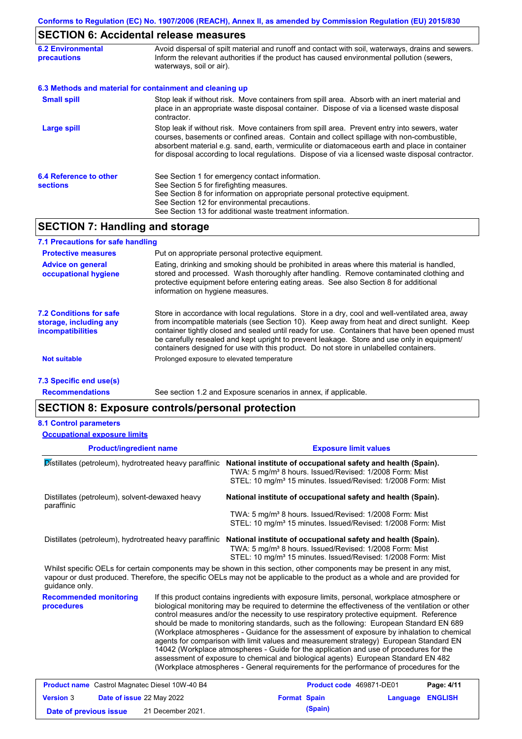# **SECTION 6: Accidental release measures**

| <b>6.2 Environmental</b><br><b>precautions</b> | Avoid dispersal of spilt material and runoff and contact with soil, waterways, drains and sewers.<br>Inform the relevant authorities if the product has caused environmental pollution (sewers,<br>waterways, soil or air).                                                                                                                                                                    |
|------------------------------------------------|------------------------------------------------------------------------------------------------------------------------------------------------------------------------------------------------------------------------------------------------------------------------------------------------------------------------------------------------------------------------------------------------|
|                                                | 6.3 Methods and material for containment and cleaning up                                                                                                                                                                                                                                                                                                                                       |
| <b>Small spill</b>                             | Stop leak if without risk. Move containers from spill area. Absorb with an inert material and<br>place in an appropriate waste disposal container. Dispose of via a licensed waste disposal<br>contractor.                                                                                                                                                                                     |
| <b>Large spill</b>                             | Stop leak if without risk. Move containers from spill area. Prevent entry into sewers, water<br>courses, basements or confined areas. Contain and collect spillage with non-combustible,<br>absorbent material e.g. sand, earth, vermiculite or diatomaceous earth and place in container<br>for disposal according to local regulations. Dispose of via a licensed waste disposal contractor. |
| 6.4 Reference to other<br><b>sections</b>      | See Section 1 for emergency contact information.<br>See Section 5 for firefighting measures.<br>See Section 8 for information on appropriate personal protective equipment.<br>See Section 12 for environmental precautions.<br>See Section 13 for additional waste treatment information.                                                                                                     |
|                                                |                                                                                                                                                                                                                                                                                                                                                                                                |

## **SECTION 7: Handling and storage**

| 7.1 Precautions for safe handling                                                    |                                                                                                                                                                                                                                                                                                                                                                                                                                                                                          |
|--------------------------------------------------------------------------------------|------------------------------------------------------------------------------------------------------------------------------------------------------------------------------------------------------------------------------------------------------------------------------------------------------------------------------------------------------------------------------------------------------------------------------------------------------------------------------------------|
| <b>Protective measures</b>                                                           | Put on appropriate personal protective equipment.                                                                                                                                                                                                                                                                                                                                                                                                                                        |
| <b>Advice on general</b><br>occupational hygiene                                     | Eating, drinking and smoking should be prohibited in areas where this material is handled,<br>stored and processed. Wash thoroughly after handling. Remove contaminated clothing and<br>protective equipment before entering eating areas. See also Section 8 for additional<br>information on hygiene measures.                                                                                                                                                                         |
| <b>7.2 Conditions for safe</b><br>storage, including any<br><i>incompatibilities</i> | Store in accordance with local regulations. Store in a dry, cool and well-ventilated area, away<br>from incompatible materials (see Section 10). Keep away from heat and direct sunlight. Keep<br>container tightly closed and sealed until ready for use. Containers that have been opened must<br>be carefully resealed and kept upright to prevent leakage. Store and use only in equipment/<br>containers designed for use with this product. Do not store in unlabelled containers. |
| <b>Not suitable</b>                                                                  | Prolonged exposure to elevated temperature                                                                                                                                                                                                                                                                                                                                                                                                                                               |
| 7.3 Specific end use(s)                                                              |                                                                                                                                                                                                                                                                                                                                                                                                                                                                                          |

**Recommendations**

See section 1.2 and Exposure scenarios in annex, if applicable.

# **SECTION 8: Exposure controls/personal protection**

| <b>8.1 Control parameters</b><br><b>Occupational exposure limits</b> |                                                                                                                                                                                                                                                      |
|----------------------------------------------------------------------|------------------------------------------------------------------------------------------------------------------------------------------------------------------------------------------------------------------------------------------------------|
| <b>Product/ingredient name</b>                                       | <b>Exposure limit values</b>                                                                                                                                                                                                                         |
| $\mathcal{D}$ istillates (petroleum), hydrotreated heavy paraffinic  | National institute of occupational safety and health (Spain).<br>TWA: 5 mg/m <sup>3</sup> 8 hours. Issued/Revised: 1/2008 Form: Mist<br>STEL: 10 mg/m <sup>3</sup> 15 minutes. Issued/Revised: 1/2008 Form: Mist                                     |
| Distillates (petroleum), solvent-dewaxed heavy<br>paraffinic         | National institute of occupational safety and health (Spain).                                                                                                                                                                                        |
|                                                                      | TWA: 5 mg/m <sup>3</sup> 8 hours. Issued/Revised: 1/2008 Form: Mist                                                                                                                                                                                  |
|                                                                      | STEL: 10 mg/m <sup>3</sup> 15 minutes. Issued/Revised: 1/2008 Form: Mist                                                                                                                                                                             |
| Distillates (petroleum), hydrotreated heavy paraffinic               | National institute of occupational safety and health (Spain).<br>TWA: 5 mg/m <sup>3</sup> 8 hours. Issued/Revised: 1/2008 Form: Mist<br>STEL: 10 mg/m <sup>3</sup> 15 minutes. Issued/Revised: 1/2008 Form: Mist                                     |
| quidance only.                                                       | Whilst specific OELs for certain components may be shown in this section, other components may be present in any mist,<br>vapour or dust produced. Therefore, the specific OELs may not be applicable to the product as a whole and are provided for |

**Recommended monitoring procedures**

If this product contains ingredients with exposure limits, personal, workplace atmosphere or biological monitoring may be required to determine the effectiveness of the ventilation or other control measures and/or the necessity to use respiratory protective equipment. Reference should be made to monitoring standards, such as the following: European Standard EN 689 (Workplace atmospheres - Guidance for the assessment of exposure by inhalation to chemical agents for comparison with limit values and measurement strategy) European Standard EN 14042 (Workplace atmospheres - Guide for the application and use of procedures for the assessment of exposure to chemical and biological agents) European Standard EN 482 (Workplace atmospheres - General requirements for the performance of procedures for the

| <b>Product name</b> Castrol Magnatec Diesel 10W-40 B4 |  |                           | <b>Product code</b> 469871-DE01 |         | Page: 4/11              |  |
|-------------------------------------------------------|--|---------------------------|---------------------------------|---------|-------------------------|--|
| <b>Version 3</b>                                      |  | Date of issue 22 May 2022 | <b>Format Spain</b>             |         | <b>Language ENGLISH</b> |  |
| Date of previous issue                                |  | 21 December 2021.         |                                 | (Spain) |                         |  |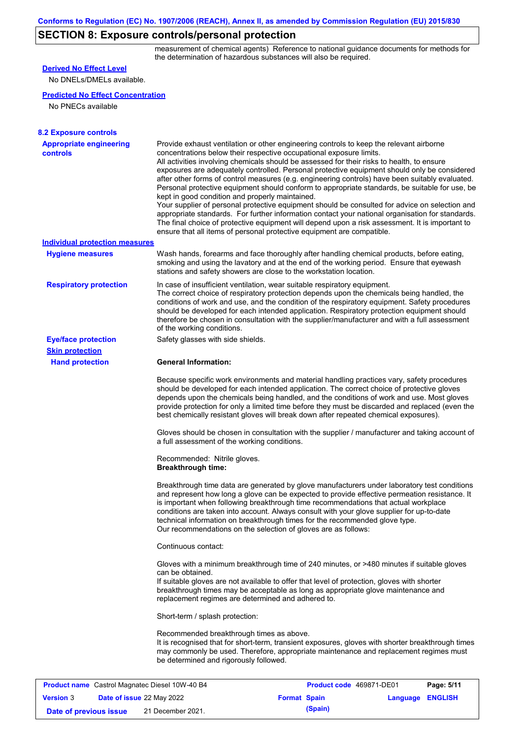# **SECTION 8: Exposure controls/personal protection**

measurement of chemical agents) Reference to national guidance documents for methods for the determination of hazardous substances will also be required.

| <b>Derived No Effect Level</b>                        |                                                                                    |                                                                                                                                                                                                                                                                                                                                                                                                                                                                                                                                                                                                                                                                                                                                                                                                                                                                                                                                                      |                                   |  |  |
|-------------------------------------------------------|------------------------------------------------------------------------------------|------------------------------------------------------------------------------------------------------------------------------------------------------------------------------------------------------------------------------------------------------------------------------------------------------------------------------------------------------------------------------------------------------------------------------------------------------------------------------------------------------------------------------------------------------------------------------------------------------------------------------------------------------------------------------------------------------------------------------------------------------------------------------------------------------------------------------------------------------------------------------------------------------------------------------------------------------|-----------------------------------|--|--|
| No DNELs/DMELs available.                             |                                                                                    |                                                                                                                                                                                                                                                                                                                                                                                                                                                                                                                                                                                                                                                                                                                                                                                                                                                                                                                                                      |                                   |  |  |
| <b>Predicted No Effect Concentration</b>              |                                                                                    |                                                                                                                                                                                                                                                                                                                                                                                                                                                                                                                                                                                                                                                                                                                                                                                                                                                                                                                                                      |                                   |  |  |
| No PNECs available                                    |                                                                                    |                                                                                                                                                                                                                                                                                                                                                                                                                                                                                                                                                                                                                                                                                                                                                                                                                                                                                                                                                      |                                   |  |  |
|                                                       |                                                                                    |                                                                                                                                                                                                                                                                                                                                                                                                                                                                                                                                                                                                                                                                                                                                                                                                                                                                                                                                                      |                                   |  |  |
| <b>8.2 Exposure controls</b>                          |                                                                                    |                                                                                                                                                                                                                                                                                                                                                                                                                                                                                                                                                                                                                                                                                                                                                                                                                                                                                                                                                      |                                   |  |  |
| <b>Appropriate engineering</b><br><b>controls</b>     | kept in good condition and properly maintained.                                    | Provide exhaust ventilation or other engineering controls to keep the relevant airborne<br>concentrations below their respective occupational exposure limits.<br>All activities involving chemicals should be assessed for their risks to health, to ensure<br>exposures are adequately controlled. Personal protective equipment should only be considered<br>after other forms of control measures (e.g. engineering controls) have been suitably evaluated.<br>Personal protective equipment should conform to appropriate standards, be suitable for use, be<br>Your supplier of personal protective equipment should be consulted for advice on selection and<br>appropriate standards. For further information contact your national organisation for standards.<br>The final choice of protective equipment will depend upon a risk assessment. It is important to<br>ensure that all items of personal protective equipment are compatible. |                                   |  |  |
| <b>Individual protection measures</b>                 |                                                                                    |                                                                                                                                                                                                                                                                                                                                                                                                                                                                                                                                                                                                                                                                                                                                                                                                                                                                                                                                                      |                                   |  |  |
| <b>Hygiene measures</b>                               |                                                                                    | Wash hands, forearms and face thoroughly after handling chemical products, before eating,<br>smoking and using the lavatory and at the end of the working period. Ensure that eyewash<br>stations and safety showers are close to the workstation location.                                                                                                                                                                                                                                                                                                                                                                                                                                                                                                                                                                                                                                                                                          |                                   |  |  |
| <b>Respiratory protection</b>                         | of the working conditions.                                                         | In case of insufficient ventilation, wear suitable respiratory equipment.<br>The correct choice of respiratory protection depends upon the chemicals being handled, the<br>conditions of work and use, and the condition of the respiratory equipment. Safety procedures<br>should be developed for each intended application. Respiratory protection equipment should<br>therefore be chosen in consultation with the supplier/manufacturer and with a full assessment                                                                                                                                                                                                                                                                                                                                                                                                                                                                              |                                   |  |  |
| <b>Eye/face protection</b>                            | Safety glasses with side shields.                                                  |                                                                                                                                                                                                                                                                                                                                                                                                                                                                                                                                                                                                                                                                                                                                                                                                                                                                                                                                                      |                                   |  |  |
| <b>Skin protection</b>                                |                                                                                    |                                                                                                                                                                                                                                                                                                                                                                                                                                                                                                                                                                                                                                                                                                                                                                                                                                                                                                                                                      |                                   |  |  |
| <b>Hand protection</b>                                | <b>General Information:</b>                                                        |                                                                                                                                                                                                                                                                                                                                                                                                                                                                                                                                                                                                                                                                                                                                                                                                                                                                                                                                                      |                                   |  |  |
|                                                       |                                                                                    | Because specific work environments and material handling practices vary, safety procedures<br>should be developed for each intended application. The correct choice of protective gloves<br>depends upon the chemicals being handled, and the conditions of work and use. Most gloves<br>provide protection for only a limited time before they must be discarded and replaced (even the<br>best chemically resistant gloves will break down after repeated chemical exposures).                                                                                                                                                                                                                                                                                                                                                                                                                                                                     |                                   |  |  |
|                                                       | a full assessment of the working conditions.                                       | Gloves should be chosen in consultation with the supplier / manufacturer and taking account of                                                                                                                                                                                                                                                                                                                                                                                                                                                                                                                                                                                                                                                                                                                                                                                                                                                       |                                   |  |  |
|                                                       | Recommended: Nitrile gloves.<br><b>Breakthrough time:</b>                          |                                                                                                                                                                                                                                                                                                                                                                                                                                                                                                                                                                                                                                                                                                                                                                                                                                                                                                                                                      |                                   |  |  |
|                                                       |                                                                                    | Breakthrough time data are generated by glove manufacturers under laboratory test conditions<br>and represent how long a glove can be expected to provide effective permeation resistance. It<br>is important when following breakthrough time recommendations that actual workplace<br>conditions are taken into account. Always consult with your glove supplier for up-to-date<br>technical information on breakthrough times for the recommended glove type.<br>Our recommendations on the selection of gloves are as follows:                                                                                                                                                                                                                                                                                                                                                                                                                   |                                   |  |  |
|                                                       | Continuous contact:                                                                |                                                                                                                                                                                                                                                                                                                                                                                                                                                                                                                                                                                                                                                                                                                                                                                                                                                                                                                                                      |                                   |  |  |
|                                                       | can be obtained.<br>replacement regimes are determined and adhered to.             | Gloves with a minimum breakthrough time of 240 minutes, or >480 minutes if suitable gloves<br>If suitable gloves are not available to offer that level of protection, gloves with shorter<br>breakthrough times may be acceptable as long as appropriate glove maintenance and                                                                                                                                                                                                                                                                                                                                                                                                                                                                                                                                                                                                                                                                       |                                   |  |  |
|                                                       | Short-term / splash protection:                                                    |                                                                                                                                                                                                                                                                                                                                                                                                                                                                                                                                                                                                                                                                                                                                                                                                                                                                                                                                                      |                                   |  |  |
|                                                       | Recommended breakthrough times as above.<br>be determined and rigorously followed. | It is recognised that for short-term, transient exposures, gloves with shorter breakthrough times<br>may commonly be used. Therefore, appropriate maintenance and replacement regimes must                                                                                                                                                                                                                                                                                                                                                                                                                                                                                                                                                                                                                                                                                                                                                           |                                   |  |  |
| <b>Product name</b> Castrol Magnatec Diesel 10W-40 B4 |                                                                                    | Product code 469871-DE01                                                                                                                                                                                                                                                                                                                                                                                                                                                                                                                                                                                                                                                                                                                                                                                                                                                                                                                             | Page: 5/11                        |  |  |
| <b>Version 3</b><br>Date of issue 22 May 2022         |                                                                                    | <b>Format Spain</b>                                                                                                                                                                                                                                                                                                                                                                                                                                                                                                                                                                                                                                                                                                                                                                                                                                                                                                                                  | <b>ENGLISH</b><br><b>Language</b> |  |  |
|                                                       |                                                                                    |                                                                                                                                                                                                                                                                                                                                                                                                                                                                                                                                                                                                                                                                                                                                                                                                                                                                                                                                                      |                                   |  |  |

**Date of previous issue (Spain)** 21 December 2021.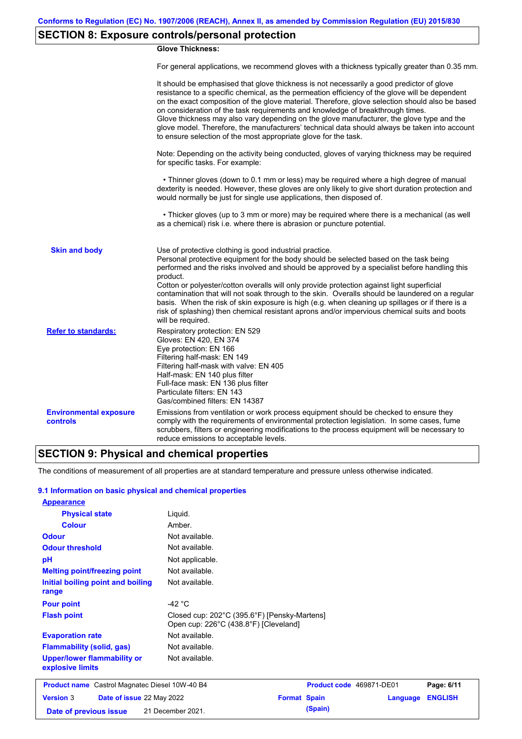# **SECTION 8: Exposure controls/personal protection**

### **Glove Thickness:**

For general applications, we recommend gloves with a thickness typically greater than 0.35 mm.

|                                           | It should be emphasised that glove thickness is not necessarily a good predictor of glove<br>resistance to a specific chemical, as the permeation efficiency of the glove will be dependent<br>on the exact composition of the glove material. Therefore, glove selection should also be based<br>on consideration of the task requirements and knowledge of breakthrough times.<br>Glove thickness may also vary depending on the glove manufacturer, the glove type and the<br>glove model. Therefore, the manufacturers' technical data should always be taken into account<br>to ensure selection of the most appropriate glove for the task.                                     |
|-------------------------------------------|---------------------------------------------------------------------------------------------------------------------------------------------------------------------------------------------------------------------------------------------------------------------------------------------------------------------------------------------------------------------------------------------------------------------------------------------------------------------------------------------------------------------------------------------------------------------------------------------------------------------------------------------------------------------------------------|
|                                           | Note: Depending on the activity being conducted, gloves of varying thickness may be required<br>for specific tasks. For example:                                                                                                                                                                                                                                                                                                                                                                                                                                                                                                                                                      |
|                                           | • Thinner gloves (down to 0.1 mm or less) may be required where a high degree of manual<br>dexterity is needed. However, these gloves are only likely to give short duration protection and<br>would normally be just for single use applications, then disposed of.                                                                                                                                                                                                                                                                                                                                                                                                                  |
|                                           | • Thicker gloves (up to 3 mm or more) may be required where there is a mechanical (as well<br>as a chemical) risk i.e. where there is abrasion or puncture potential.                                                                                                                                                                                                                                                                                                                                                                                                                                                                                                                 |
| <b>Skin and body</b>                      | Use of protective clothing is good industrial practice.<br>Personal protective equipment for the body should be selected based on the task being<br>performed and the risks involved and should be approved by a specialist before handling this<br>product.<br>Cotton or polyester/cotton overalls will only provide protection against light superficial<br>contamination that will not soak through to the skin. Overalls should be laundered on a regular<br>basis. When the risk of skin exposure is high (e.g. when cleaning up spillages or if there is a<br>risk of splashing) then chemical resistant aprons and/or impervious chemical suits and boots<br>will be required. |
| <b>Refer to standards:</b>                | Respiratory protection: EN 529<br>Gloves: EN 420, EN 374<br>Eye protection: EN 166<br>Filtering half-mask: EN 149<br>Filtering half-mask with valve: EN 405<br>Half-mask: EN 140 plus filter<br>Full-face mask: EN 136 plus filter<br>Particulate filters: EN 143<br>Gas/combined filters: EN 14387                                                                                                                                                                                                                                                                                                                                                                                   |
| <b>Environmental exposure</b><br>controls | Emissions from ventilation or work process equipment should be checked to ensure they<br>comply with the requirements of environmental protection legislation. In some cases, fume<br>scrubbers, filters or engineering modifications to the process equipment will be necessary to<br>reduce emissions to acceptable levels.                                                                                                                                                                                                                                                                                                                                                         |

# **SECTION 9: Physical and chemical properties**

The conditions of measurement of all properties are at standard temperature and pressure unless otherwise indicated.

### **9.1 Information on basic physical and chemical properties**

| <b>Appearance</b>                                      |                                                                                       |
|--------------------------------------------------------|---------------------------------------------------------------------------------------|
| <b>Physical state</b>                                  | Liquid.                                                                               |
| <b>Colour</b>                                          | Amber.                                                                                |
| <b>Odour</b>                                           | Not available.                                                                        |
| <b>Odour threshold</b>                                 | Not available.                                                                        |
| pH                                                     | Not applicable.                                                                       |
| <b>Melting point/freezing point</b>                    | Not available.                                                                        |
| Initial boiling point and boiling<br>range             | Not available.                                                                        |
| <b>Pour point</b>                                      | -42 $^{\circ}$ C                                                                      |
| <b>Flash point</b>                                     | Closed cup: 202°C (395.6°F) [Pensky-Martens]<br>Open cup: 226°C (438.8°F) [Cleveland] |
| <b>Evaporation rate</b>                                | Not available.                                                                        |
| <b>Flammability (solid, gas)</b>                       | Not available.                                                                        |
| <b>Upper/lower flammability or</b><br>explosive limits | Not available.                                                                        |
| <b>Product name</b> Castrol Magnatec Diesel 10W-40 B4  | Product code 469871-DE01<br>Page: 6/11                                                |
| <b>Version 3</b><br>Date of issue 22 May 2022          | <b>ENGLISH</b><br><b>Format Spain</b><br>Language                                     |
| Date of previous issue                                 | (Spain)<br>21 December 2021.                                                          |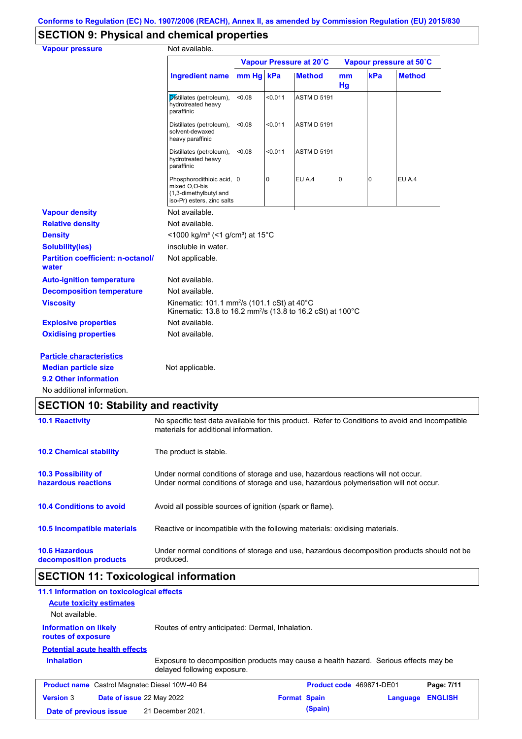# **SECTION 9: Physical and chemical properties**

| <b>Vapour pressure</b>                            | Not available.                                                                                                                    |        |         |                         |          |                |                         |
|---------------------------------------------------|-----------------------------------------------------------------------------------------------------------------------------------|--------|---------|-------------------------|----------|----------------|-------------------------|
|                                                   |                                                                                                                                   |        |         | Vapour Pressure at 20°C |          |                | Vapour pressure at 50°C |
|                                                   | Ingredient name mm Hg kPa                                                                                                         |        |         | <b>Method</b>           | mm<br>Hg | kPa            | <b>Method</b>           |
|                                                   | Distillates (petroleum),<br>hydrotreated heavy<br>paraffinic                                                                      | < 0.08 | < 0.011 | <b>ASTM D 5191</b>      |          |                |                         |
|                                                   | Distillates (petroleum),<br>solvent-dewaxed<br>heavy paraffinic                                                                   | <0.08  | < 0.011 | <b>ASTM D 5191</b>      |          |                |                         |
|                                                   | Distillates (petroleum),<br>hydrotreated heavy<br>paraffinic                                                                      | < 0.08 | < 0.011 | <b>ASTM D 5191</b>      |          |                |                         |
|                                                   | Phosphorodithioic acid, 0<br>mixed O,O-bis<br>(1,3-dimethylbutyl and<br>iso-Pr) esters, zinc salts                                |        | 0       | EU A.4                  | 0        | $\overline{0}$ | EU A.4                  |
| <b>Vapour density</b>                             | Not available.                                                                                                                    |        |         |                         |          |                |                         |
| <b>Relative density</b>                           | Not available.                                                                                                                    |        |         |                         |          |                |                         |
| <b>Density</b>                                    | <1000 kg/m <sup>3</sup> (<1 g/cm <sup>3</sup> ) at 15°C                                                                           |        |         |                         |          |                |                         |
| <b>Solubility(ies)</b>                            | insoluble in water.                                                                                                               |        |         |                         |          |                |                         |
| <b>Partition coefficient: n-octanol/</b><br>water | Not applicable.                                                                                                                   |        |         |                         |          |                |                         |
| <b>Auto-ignition temperature</b>                  | Not available.                                                                                                                    |        |         |                         |          |                |                         |
| <b>Decomposition temperature</b>                  | Not available.                                                                                                                    |        |         |                         |          |                |                         |
| <b>Viscosity</b>                                  | Kinematic: 101.1 mm <sup>2</sup> /s (101.1 cSt) at 40°C<br>Kinematic: 13.8 to 16.2 mm <sup>2</sup> /s (13.8 to 16.2 cSt) at 100°C |        |         |                         |          |                |                         |
| <b>Explosive properties</b>                       | Not available.                                                                                                                    |        |         |                         |          |                |                         |
| <b>Oxidising properties</b>                       | Not available.                                                                                                                    |        |         |                         |          |                |                         |
| <b>Particle characteristics</b>                   |                                                                                                                                   |        |         |                         |          |                |                         |
| <b>Median particle size</b>                       | Not applicable.                                                                                                                   |        |         |                         |          |                |                         |
| 9.2 Other information                             |                                                                                                                                   |        |         |                         |          |                |                         |
| No additional information.                        |                                                                                                                                   |        |         |                         |          |                |                         |

| <b>10.1 Reactivity</b>                            | No specific test data available for this product. Refer to Conditions to avoid and Incompatible<br>materials for additional information.                                |
|---------------------------------------------------|-------------------------------------------------------------------------------------------------------------------------------------------------------------------------|
| <b>10.2 Chemical stability</b>                    | The product is stable.                                                                                                                                                  |
| <b>10.3 Possibility of</b><br>hazardous reactions | Under normal conditions of storage and use, hazardous reactions will not occur.<br>Under normal conditions of storage and use, hazardous polymerisation will not occur. |
| <b>10.4 Conditions to avoid</b>                   | Avoid all possible sources of ignition (spark or flame).                                                                                                                |
| 10.5 Incompatible materials                       | Reactive or incompatible with the following materials: oxidising materials.                                                                                             |
| <b>10.6 Hazardous</b><br>decomposition products   | Under normal conditions of storage and use, hazardous decomposition products should not be<br>produced.                                                                 |

# **SECTION 11: Toxicological information**

| 11.1 Information on toxicological effects             |                                                  |                                                                                      |                            |
|-------------------------------------------------------|--------------------------------------------------|--------------------------------------------------------------------------------------|----------------------------|
| <b>Acute toxicity estimates</b>                       |                                                  |                                                                                      |                            |
| Not available.                                        |                                                  |                                                                                      |                            |
| <b>Information on likely</b><br>routes of exposure    | Routes of entry anticipated: Dermal, Inhalation. |                                                                                      |                            |
| <b>Potential acute health effects</b>                 |                                                  |                                                                                      |                            |
| <b>Inhalation</b>                                     | delayed following exposure.                      | Exposure to decomposition products may cause a health hazard. Serious effects may be |                            |
| <b>Product name</b> Castrol Magnatec Diesel 10W-40 B4 |                                                  | Product code 469871-DE01                                                             | Page: 7/11                 |
| <b>Version 3</b>                                      | Date of issue 22 May 2022                        | <b>Format Spain</b>                                                                  | <b>ENGLISH</b><br>Language |
| Date of previous issue                                | 21 December 2021.                                | (Spain)                                                                              |                            |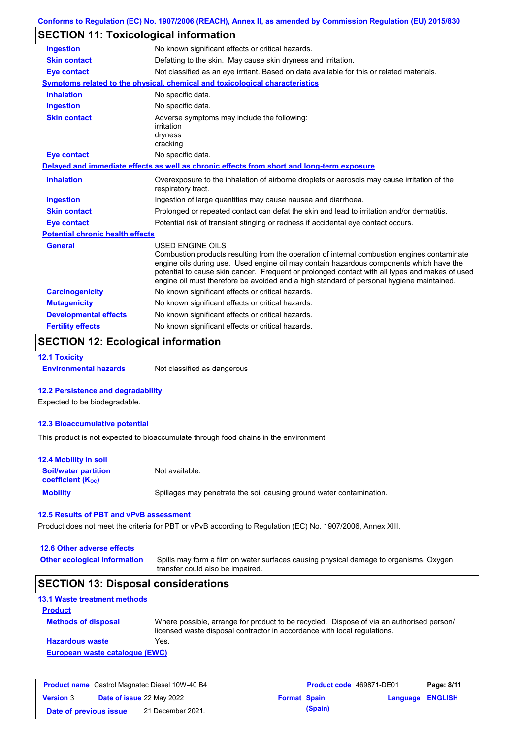|  | Conforms to Regulation (EC) No. 1907/2006 (REACH), Annex II, as amended by Commission Regulation (EU) 2015/830 |  |
|--|----------------------------------------------------------------------------------------------------------------|--|
|--|----------------------------------------------------------------------------------------------------------------|--|

# **SECTION 11: Toxicological information**

| <b>Ingestion</b>                        | No known significant effects or critical hazards.                                                                                                                                                                                                                                                                                                                                                               |  |  |
|-----------------------------------------|-----------------------------------------------------------------------------------------------------------------------------------------------------------------------------------------------------------------------------------------------------------------------------------------------------------------------------------------------------------------------------------------------------------------|--|--|
| <b>Skin contact</b>                     | Defatting to the skin. May cause skin dryness and irritation.                                                                                                                                                                                                                                                                                                                                                   |  |  |
| <b>Eye contact</b>                      | Not classified as an eye irritant. Based on data available for this or related materials.                                                                                                                                                                                                                                                                                                                       |  |  |
|                                         | <b>Symptoms related to the physical, chemical and toxicological characteristics</b>                                                                                                                                                                                                                                                                                                                             |  |  |
| <b>Inhalation</b>                       | No specific data.                                                                                                                                                                                                                                                                                                                                                                                               |  |  |
| <b>Ingestion</b>                        | No specific data.                                                                                                                                                                                                                                                                                                                                                                                               |  |  |
| <b>Skin contact</b>                     | Adverse symptoms may include the following:<br>irritation<br>dryness<br>cracking                                                                                                                                                                                                                                                                                                                                |  |  |
| <b>Eye contact</b>                      | No specific data.                                                                                                                                                                                                                                                                                                                                                                                               |  |  |
|                                         | Delayed and immediate effects as well as chronic effects from short and long-term exposure                                                                                                                                                                                                                                                                                                                      |  |  |
| <b>Inhalation</b>                       | Overexposure to the inhalation of airborne droplets or aerosols may cause irritation of the<br>respiratory tract.                                                                                                                                                                                                                                                                                               |  |  |
| <b>Ingestion</b>                        | Ingestion of large quantities may cause nausea and diarrhoea.                                                                                                                                                                                                                                                                                                                                                   |  |  |
| <b>Skin contact</b>                     | Prolonged or repeated contact can defat the skin and lead to irritation and/or dermatitis.                                                                                                                                                                                                                                                                                                                      |  |  |
| <b>Eye contact</b>                      | Potential risk of transient stinging or redness if accidental eye contact occurs.                                                                                                                                                                                                                                                                                                                               |  |  |
| <b>Potential chronic health effects</b> |                                                                                                                                                                                                                                                                                                                                                                                                                 |  |  |
| <b>General</b>                          | <b>USED ENGINE OILS</b><br>Combustion products resulting from the operation of internal combustion engines contaminate<br>engine oils during use. Used engine oil may contain hazardous components which have the<br>potential to cause skin cancer. Frequent or prolonged contact with all types and makes of used<br>engine oil must therefore be avoided and a high standard of personal hygiene maintained. |  |  |
| <b>Carcinogenicity</b>                  | No known significant effects or critical hazards.                                                                                                                                                                                                                                                                                                                                                               |  |  |
| <b>Mutagenicity</b>                     | No known significant effects or critical hazards.                                                                                                                                                                                                                                                                                                                                                               |  |  |
| <b>Developmental effects</b>            | No known significant effects or critical hazards.                                                                                                                                                                                                                                                                                                                                                               |  |  |
| <b>Fertility effects</b>                | No known significant effects or critical hazards.                                                                                                                                                                                                                                                                                                                                                               |  |  |

# **SECTION 12: Ecological information**

#### **12.1 Toxicity**

**Environmental hazards** Not classified as dangerous

#### **12.2 Persistence and degradability**

Expected to be biodegradable.

#### **12.3 Bioaccumulative potential**

This product is not expected to bioaccumulate through food chains in the environment.

| <b>12.4 Mobility in soil</b>                            |                                                                      |
|---------------------------------------------------------|----------------------------------------------------------------------|
| <b>Soil/water partition</b><br><b>coefficient (Koc)</b> | Not available.                                                       |
| <b>Mobility</b>                                         | Spillages may penetrate the soil causing ground water contamination. |

#### **12.5 Results of PBT and vPvB assessment**

Product does not meet the criteria for PBT or vPvB according to Regulation (EC) No. 1907/2006, Annex XIII.

#### **12.6 Other adverse effects**

Spills may form a film on water surfaces causing physical damage to organisms. Oxygen transfer could also be impaired. **Other ecological information**

### **SECTION 13: Disposal considerations**

### **13.1 Waste treatment methods Product**

| <b>Methods of disposal</b>     | Where possible, arrange for product to be recycled. Dispose of via an authorised person/<br>licensed waste disposal contractor in accordance with local regulations. |  |  |
|--------------------------------|----------------------------------------------------------------------------------------------------------------------------------------------------------------------|--|--|
| <b>Hazardous waste</b>         | Yes.                                                                                                                                                                 |  |  |
| European waste catalogue (EWC) |                                                                                                                                                                      |  |  |

| <b>Product name</b> Castrol Magnatec Diesel 10W-40 B4 |  |                                  | <b>Product code</b> 469871-DE01 |         | Page: 8/11       |  |
|-------------------------------------------------------|--|----------------------------------|---------------------------------|---------|------------------|--|
| <b>Version 3</b>                                      |  | <b>Date of issue 22 May 2022</b> | <b>Format Spain</b>             |         | Language ENGLISH |  |
| Date of previous issue                                |  | 21 December 2021.                |                                 | (Spain) |                  |  |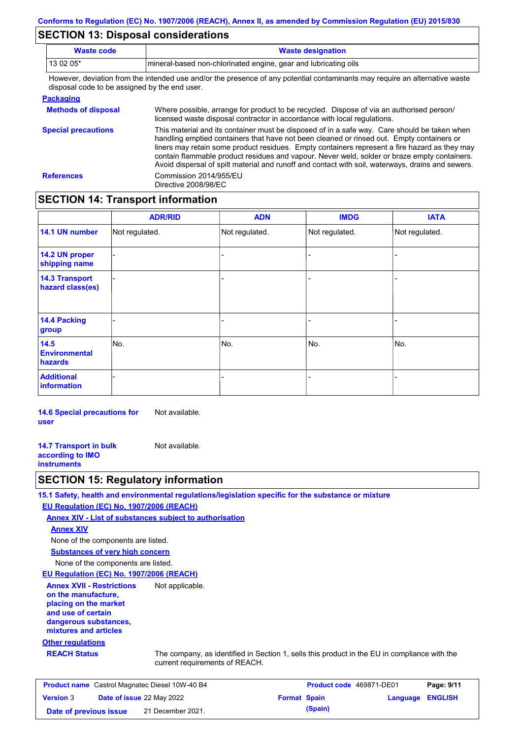# **SECTION 13: Disposal considerations**

| <b>Waste code</b>                                                            | <b>Waste designation</b>                                                                                                                                                                                                                                                                                                                                                                                                                                                                        |  |  |  |
|------------------------------------------------------------------------------|-------------------------------------------------------------------------------------------------------------------------------------------------------------------------------------------------------------------------------------------------------------------------------------------------------------------------------------------------------------------------------------------------------------------------------------------------------------------------------------------------|--|--|--|
| 13 02 05*<br>mineral-based non-chlorinated engine, gear and lubricating oils |                                                                                                                                                                                                                                                                                                                                                                                                                                                                                                 |  |  |  |
| disposal code to be assigned by the end user.                                | However, deviation from the intended use and/or the presence of any potential contaminants may require an alternative waste                                                                                                                                                                                                                                                                                                                                                                     |  |  |  |
| <b>Packaging</b>                                                             |                                                                                                                                                                                                                                                                                                                                                                                                                                                                                                 |  |  |  |
| <b>Methods of disposal</b>                                                   | Where possible, arrange for product to be recycled. Dispose of via an authorised person/<br>licensed waste disposal contractor in accordance with local regulations.                                                                                                                                                                                                                                                                                                                            |  |  |  |
| <b>Special precautions</b>                                                   | This material and its container must be disposed of in a safe way. Care should be taken when<br>handling emptied containers that have not been cleaned or rinsed out. Empty containers or<br>liners may retain some product residues. Empty containers represent a fire hazard as they may<br>contain flammable product residues and vapour. Never weld, solder or braze empty containers.<br>Avoid dispersal of spilt material and runoff and contact with soil, waterways, drains and sewers. |  |  |  |

# **SECTION 14: Transport information**

**References** Commission 2014/955/EU

Directive 2008/98/EC

|                                           | <b>ADR/RID</b> | <b>ADN</b>     | <b>IMDG</b>    | <b>IATA</b>    |
|-------------------------------------------|----------------|----------------|----------------|----------------|
| 14.1 UN number                            | Not regulated. | Not regulated. | Not regulated. | Not regulated. |
| 14.2 UN proper<br>shipping name           |                |                | $\blacksquare$ |                |
| <b>14.3 Transport</b><br>hazard class(es) |                |                |                |                |
| <b>14.4 Packing</b><br>group              |                |                | -              |                |
| 14.5<br><b>Environmental</b><br>hazards   | No.            | No.            | No.            | No.            |
| <b>Additional</b><br><b>information</b>   |                |                |                |                |

**14.6 Special precautions for user** Not available.

**14.7 Transport in bulk according to IMO instruments** Not available.

### **SECTION 15: Regulatory information**

**15.1 Safety, health and environmental regulations/legislation specific for the substance or mixture**

**EU Regulation (EC) No. 1907/2006 (REACH)**

**Annex XIV - List of substances subject to authorisation Annex XIV**

**Substances of very high concern** None of the components are listed.

None of the components are listed.

**EU Regulation (EC) No. 1907/2006 (REACH)**

**Other regulations Annex XVII - Restrictions on the manufacture, placing on the market and use of certain dangerous substances, mixtures and articles** Not applicable.

**REACH Status** The company, as identified in Section 1, sells this product in the EU in compliance with the current requirements of REACH.

| <b>Product name</b> Castrol Magnatec Diesel 10W-40 B4 |  |                           | <b>Product code</b> 469871-DE01 |         | Page: 9/11              |  |
|-------------------------------------------------------|--|---------------------------|---------------------------------|---------|-------------------------|--|
| <b>Version 3</b>                                      |  | Date of issue 22 May 2022 | <b>Format Spain</b>             |         | <b>Language ENGLISH</b> |  |
| Date of previous issue                                |  | 21 December 2021.         |                                 | (Spain) |                         |  |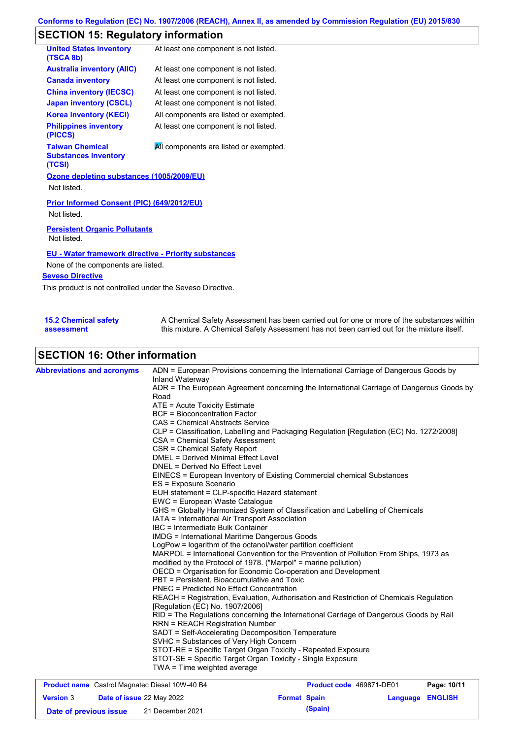# **SECTION 15: Regulatory information**

| <b>United States inventory</b><br>(TSCA 8b)                                                               | At least one component is not listed.  |  |  |  |
|-----------------------------------------------------------------------------------------------------------|----------------------------------------|--|--|--|
| <b>Australia inventory (AIIC)</b>                                                                         | At least one component is not listed.  |  |  |  |
| <b>Canada inventory</b>                                                                                   | At least one component is not listed.  |  |  |  |
| <b>China inventory (IECSC)</b>                                                                            | At least one component is not listed.  |  |  |  |
| <b>Japan inventory (CSCL)</b>                                                                             | At least one component is not listed.  |  |  |  |
| <b>Korea inventory (KECI)</b>                                                                             | All components are listed or exempted. |  |  |  |
| <b>Philippines inventory</b><br>(PICCS)                                                                   | At least one component is not listed.  |  |  |  |
| <b>Taiwan Chemical</b><br>All components are listed or exempted.<br><b>Substances Inventory</b><br>(TCSI) |                                        |  |  |  |
| Ozone depleting substances (1005/2009/EU)<br>Not listed.                                                  |                                        |  |  |  |
| <b>Prior Informed Consent (PIC) (649/2012/EU)</b><br>Not listed.                                          |                                        |  |  |  |
| <b>Persistent Organic Pollutants</b><br>Not listed.                                                       |                                        |  |  |  |
| <b>EU</b> - Water framework directive - Priority substances                                               |                                        |  |  |  |

None of the components are listed.

#### **Seveso Directive**

This product is not controlled under the Seveso Directive.

| <b>15.2 Chemical safety</b> | A Chemical Safety Assessment has been carried out for one or more of the substances within  |
|-----------------------------|---------------------------------------------------------------------------------------------|
| assessment                  | this mixture. A Chemical Safety Assessment has not been carried out for the mixture itself. |

# **SECTION 16: Other information**

| <b>Abbreviations and acronyms</b> | ADN = European Provisions concerning the International Carriage of Dangerous Goods by<br>Inland Waterway                                                 |
|-----------------------------------|----------------------------------------------------------------------------------------------------------------------------------------------------------|
|                                   | ADR = The European Agreement concerning the International Carriage of Dangerous Goods by                                                                 |
|                                   | Road                                                                                                                                                     |
|                                   | ATE = Acute Toxicity Estimate                                                                                                                            |
|                                   | <b>BCF</b> = Bioconcentration Factor                                                                                                                     |
|                                   | CAS = Chemical Abstracts Service                                                                                                                         |
|                                   | CLP = Classification, Labelling and Packaging Regulation [Regulation (EC) No. 1272/2008]                                                                 |
|                                   | CSA = Chemical Safety Assessment                                                                                                                         |
|                                   | CSR = Chemical Safety Report                                                                                                                             |
|                                   | <b>DMEL = Derived Minimal Effect Level</b>                                                                                                               |
|                                   | DNEL = Derived No Effect Level                                                                                                                           |
|                                   | EINECS = European Inventory of Existing Commercial chemical Substances                                                                                   |
|                                   | ES = Exposure Scenario                                                                                                                                   |
|                                   | EUH statement = CLP-specific Hazard statement                                                                                                            |
|                                   | EWC = European Waste Catalogue                                                                                                                           |
|                                   | GHS = Globally Harmonized System of Classification and Labelling of Chemicals                                                                            |
|                                   | IATA = International Air Transport Association                                                                                                           |
|                                   | IBC = Intermediate Bulk Container                                                                                                                        |
|                                   | <b>IMDG</b> = International Maritime Dangerous Goods                                                                                                     |
|                                   | LogPow = logarithm of the octanol/water partition coefficient                                                                                            |
|                                   | MARPOL = International Convention for the Prevention of Pollution From Ships, 1973 as<br>modified by the Protocol of 1978. ("Marpol" = marine pollution) |
|                                   | OECD = Organisation for Economic Co-operation and Development                                                                                            |
|                                   | PBT = Persistent, Bioaccumulative and Toxic                                                                                                              |
|                                   | <b>PNEC = Predicted No Effect Concentration</b>                                                                                                          |
|                                   | REACH = Registration, Evaluation, Authorisation and Restriction of Chemicals Regulation<br>[Regulation (EC) No. 1907/2006]                               |
|                                   | RID = The Regulations concerning the International Carriage of Dangerous Goods by Rail                                                                   |
|                                   | <b>RRN = REACH Registration Number</b>                                                                                                                   |
|                                   | SADT = Self-Accelerating Decomposition Temperature<br>SVHC = Substances of Very High Concern                                                             |
|                                   | STOT-RE = Specific Target Organ Toxicity - Repeated Exposure                                                                                             |
|                                   | STOT-SE = Specific Target Organ Toxicity - Single Exposure                                                                                               |
|                                   | TWA = Time weighted average                                                                                                                              |
|                                   |                                                                                                                                                          |

| <b>Product name</b> Castrol Magnatec Diesel 10W-40 B4 |  |                                  | <b>Product code</b> 469871-DE01 |         | Page: 10/11             |  |
|-------------------------------------------------------|--|----------------------------------|---------------------------------|---------|-------------------------|--|
| <b>Version 3</b>                                      |  | <b>Date of issue 22 May 2022</b> | <b>Format Spain</b>             |         | <b>Language ENGLISH</b> |  |
| Date of previous issue                                |  | 21 December 2021.                |                                 | (Spain) |                         |  |